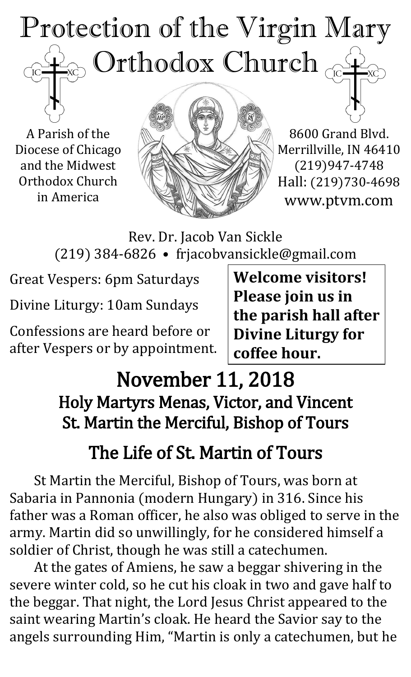# Protection of the Virgin Mary Orthodox Church ĬС

A Parish of the Diocese of Chicago and the Midwest Orthodox Church in America



8600 Grand Blvd. Merrillville, IN 46410 (219)947-4748 Hall: (219)730-4698 www.ptvm.com

Rev. Dr. Jacob Van Sickle (219) 384-6826 • frjacobvansickle@gmail.com

Great Vespers: 6pm Saturdays

Divine Liturgy: 10am Sundays

Confessions are heard before or after Vespers or by appointment.

**Welcome visitors! Please join us in the parish hall after Divine Liturgy for coffee hour.**

## November 11, 2018 Holy Martyrs Menas, Victor, and Vincent St. Martin the Merciful, Bishop of Tours

## The Life of St. Martin of Tours

St Martin the Merciful, Bishop of Tours, was born at Sabaria in Pannonia (modern Hungary) in 316. Since his father was a Roman officer, he also was obliged to serve in the army. Martin did so unwillingly, for he considered himself a soldier of Christ, though he was still a catechumen.

At the gates of Amiens, he saw a beggar shivering in the severe winter cold, so he cut his cloak in two and gave half to the beggar. That night, the Lord Jesus Christ appeared to the saint wearing Martin's cloak. He heard the Savior say to the angels surrounding Him, "Martin is only a catechumen, but he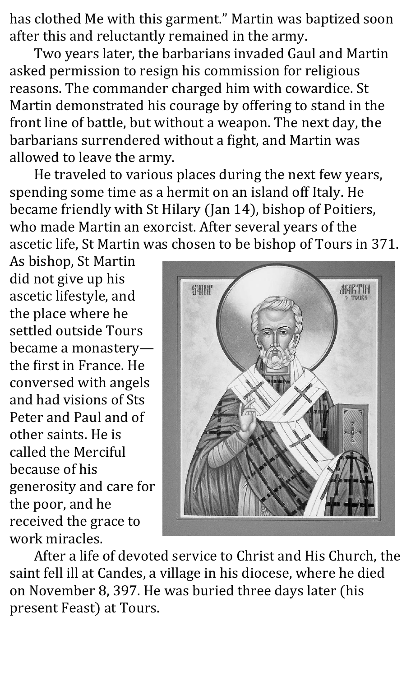has clothed Me with this garment." Martin was baptized soon after this and reluctantly remained in the army.

Two years later, the barbarians invaded Gaul and Martin asked permission to resign his commission for religious reasons. The commander charged him with cowardice. St Martin demonstrated his courage by offering to stand in the front line of battle, but without a weapon. The next day, the barbarians surrendered without a fight, and Martin was allowed to leave the army.

He traveled to various places during the next few years, spending some time as a hermit on an island off Italy. He became friendly with St Hilary (Jan 14), bishop of Poitiers, who made Martin an exorcist. After several years of the ascetic life, St Martin was chosen to be bishop of Tours in 371.

As bishop, St Martin did not give up his ascetic lifestyle, and the place where he settled outside Tours became a monastery the first in France. He conversed with angels and had visions of Sts Peter and Paul and of other saints. He is called the Merciful because of his generosity and care for the poor, and he received the grace to work miracles.



After a life of devoted service to Christ and His Church, the saint fell ill at Candes, a village in his diocese, where he died on November 8, 397. He was buried three days later (his present Feast) at Tours.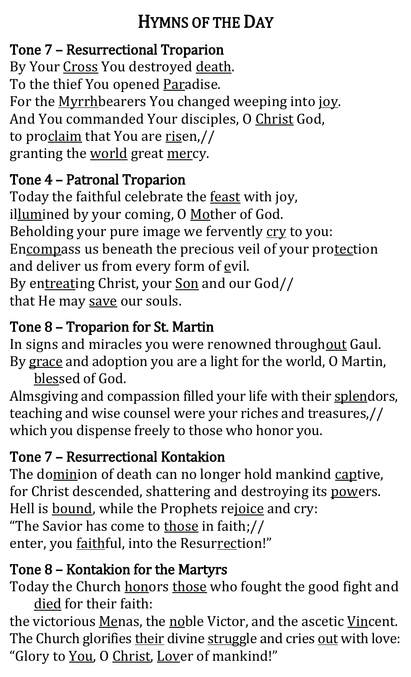### HYMNS OF THE DAY

### Tone 7 – Resurrectional Troparion

By Your Cross You destroyed death. To the thief You opened Paradise. For the Myrrhbearers You changed weeping into joy. And You commanded Your disciples, O Christ God, to proclaim that You are risen,// granting the world great mercy.

### Tone 4 – Patronal Troparion

Today the faithful celebrate the feast with joy, illumined by your coming, O Mother of God. Beholding your pure image we fervently cry to you: Encompass us beneath the precious veil of your protection and deliver us from every form of  $ev$ il. By entreating Christ, your Son and our God// that He may save our souls.

### Tone 8 – Troparion for St. Martin

In signs and miracles you were renowned throughout Gaul. By grace and adoption you are a light for the world, O Martin,

blessed of God.

Almsgiving and compassion filled your life with their splendors, teaching and wise counsel were your riches and treasures,// which you dispense freely to those who honor you.

### Tone 7 – Resurrectional Kontakion

The dominion of death can no longer hold mankind captive, for Christ descended, shattering and destroying its powers. Hell is **bound**, while the Prophets rejoice and cry: "The Savior has come to those in faith;// enter, you faithful, into the Resurrection!"

### Tone 8 – Kontakion for the Martyrs

Today the Church honors those who fought the good fight and died for their faith:

the victorious Menas, the noble Victor, and the ascetic Vincent. The Church glorifies their divine struggle and cries out with love: "Glory to You, O Christ, Lover of mankind!"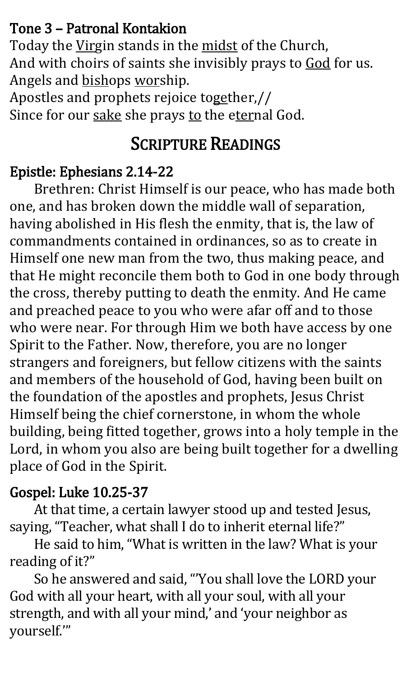#### Tone 3 – Patronal Kontakion

Today the Virgin stands in the midst of the Church, And with choirs of saints she invisibly prays to God for us. Angels and bishops worship.

Apostles and prophets rejoice together,// Since for our sake she prays to the eternal God.

### SCRIPTURE READINGS

#### Epistle: Ephesians 2.14-22

Brethren: Christ Himself is our peace, who has made both one, and has broken down the middle wall of separation, having abolished in His flesh the enmity, that is, the law of commandments contained in ordinances, so as to create in Himself one new man from the two, thus making peace, and that He might reconcile them both to God in one body through the cross, thereby putting to death the enmity. And He came and preached peace to you who were afar off and to those who were near. For through Him we both have access by one Spirit to the Father. Now, therefore, you are no longer strangers and foreigners, but fellow citizens with the saints and members of the household of God, having been built on the foundation of the apostles and prophets, Jesus Christ Himself being the chief cornerstone, in whom the whole building, being fitted together, grows into a holy temple in the Lord, in whom you also are being built together for a dwelling place of God in the Spirit.

#### Gospel: Luke 10.25-37

At that time, a certain lawyer stood up and tested Jesus, saying, "Teacher, what shall I do to inherit eternal life?"

 He said to him, "What is written in the law? What is your reading of it?"

 So he answered and said, "'You shall love the LORD your God with all your heart, with all your soul, with all your strength, and with all your mind,' and 'your neighbor as yourself.'"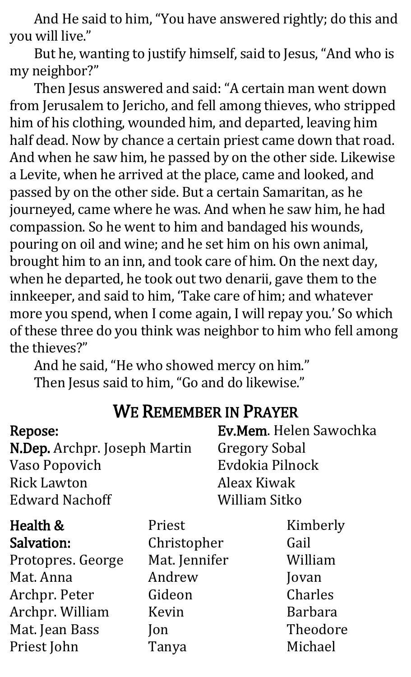And He said to him, "You have answered rightly; do this and you will live."

 But he, wanting to justify himself, said to Jesus, "And who is my neighbor?"

 Then Jesus answered and said: "A certain man went down from Jerusalem to Jericho, and fell among thieves, who stripped him of his clothing, wounded him, and departed, leaving him half dead. Now by chance a certain priest came down that road. And when he saw him, he passed by on the other side. Likewise a Levite, when he arrived at the place, came and looked, and passed by on the other side. But a certain Samaritan, as he journeyed, came where he was. And when he saw him, he had compassion. So he went to him and bandaged his wounds, pouring on oil and wine; and he set him on his own animal, brought him to an inn, and took care of him. On the next day, when he departed, he took out two denarii, gave them to the innkeeper, and said to him, 'Take care of him; and whatever more you spend, when I come again, I will repay you.' So which of these three do you think was neighbor to him who fell among the thieves?"

 And he said, "He who showed mercy on him." Then Jesus said to him, "Go and do likewise."

|                              | в товичеленных при точней |                        |  |
|------------------------------|---------------------------|------------------------|--|
| <b>Repose:</b>               |                           | Ev.Mem. Helen Sawochka |  |
| N.Dep. Archpr. Joseph Martin |                           | <b>Gregory Sobal</b>   |  |
| Vaso Popovich                |                           | Evdokia Pilnock        |  |
| <b>Rick Lawton</b>           |                           | Aleax Kiwak            |  |
| <b>Edward Nachoff</b>        |                           | William Sitko          |  |
| Health &                     | Priest                    | Kimberly               |  |
| <b>Salvation:</b>            | Christopher               | Gail                   |  |
| Protopres. George            | Mat. Jennifer             | William                |  |
| Mat. Anna                    | Andrew                    | Jovan                  |  |
| Archpr. Peter                | Gideon                    | Charles                |  |
| Archpr. William              | Kevin                     | <b>Barbara</b>         |  |
| Mat. Jean Bass               | $\mathsf{lon}$            | Theodore               |  |
| Priest John                  | Tanya                     | Michael                |  |

#### WE REMEMBER IN PRAYER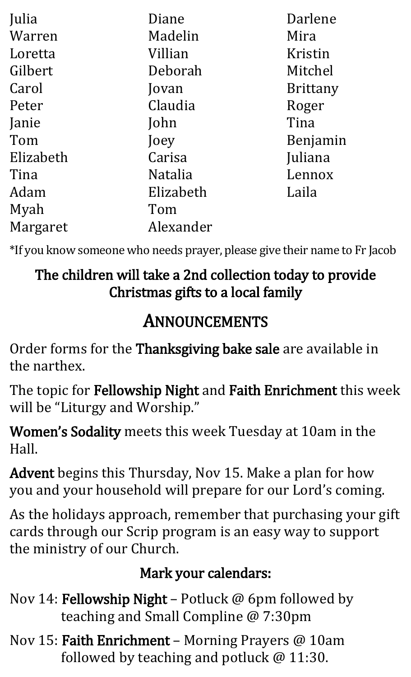| Julia     | Diane          | Darlene         |
|-----------|----------------|-----------------|
| Warren    | Madelin        | Mira            |
| Loretta   | Villian        | Kristin         |
| Gilbert   | Deborah        | Mitchel         |
| Carol     | Jovan          | <b>Brittany</b> |
| Peter     | Claudia        | Roger           |
| Janie     | John           | Tina            |
| Tom       | Joey           | Benjamin        |
| Elizabeth | Carisa         | Juliana         |
| Tina      | <b>Natalia</b> | Lennox          |
| Adam      | Elizabeth      | Laila           |
| Myah      | Tom            |                 |
| Margaret  | Alexander      |                 |

\*If you know someone who needs prayer, please give their name to Fr Jacob

#### The children will take a 2nd collection today to provide Christmas gifts to a local family

### ANNOUNCEMENTS

Order forms for the Thanksgiving bake sale are available in the narthex.

The topic for Fellowship Night and Faith Enrichment this week will be "Liturgy and Worship."

Women's Sodality meets this week Tuesday at 10am in the Hall.

Advent begins this Thursday, Nov 15. Make a plan for how you and your household will prepare for our Lord's coming.

As the holidays approach, remember that purchasing your gift cards through our Scrip program is an easy way to support the ministry of our Church.

#### Mark your calendars:

- Nov 14: Fellowship Night Potluck @ 6pm followed by teaching and Small Compline @ 7:30pm
- Nov 15: Faith Enrichment Morning Prayers @ 10am followed by teaching and potluck @ 11:30.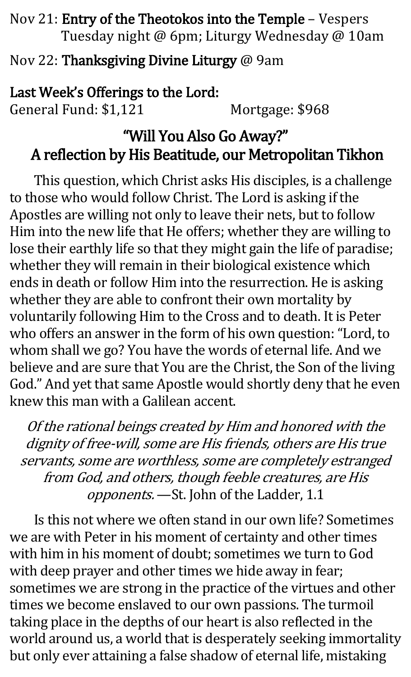Nov 21: Entry of the Theotokos into the Temple – Vespers Tuesday night @ 6pm; Liturgy Wednesday @ 10am

Nov 22: Thanksgiving Divine Liturgy @ 9am

Last Week's Offerings to the Lord: General Fund: \$1,121 Mortgage: \$968

#### "Will You Also Go Away?" A reflection by His Beatitude, our Metropolitan Tikhon

This question, which Christ asks His disciples, is a challenge to those who would follow Christ. The Lord is asking if the Apostles are willing not only to leave their nets, but to follow Him into the new life that He offers; whether they are willing to lose their earthly life so that they might gain the life of paradise; whether they will remain in their biological existence which ends in death or follow Him into the resurrection. He is asking whether they are able to confront their own mortality by voluntarily following Him to the Cross and to death. It is Peter who offers an answer in the form of his own question: "Lord, to whom shall we go? You have the words of eternal life. And we believe and are sure that You are the Christ, the Son of the living God." And yet that same Apostle would shortly deny that he even knew this man with a Galilean accent.

Of the rational beings created by Him and honored with the dignity of free-will, some are His friends, others are His true servants, some are worthless, some are completely estranged from God, and others, though feeble creatures, are His opponents. —St. John of the Ladder, 1.1

Is this not where we often stand in our own life? Sometimes we are with Peter in his moment of certainty and other times with him in his moment of doubt; sometimes we turn to God with deep prayer and other times we hide away in fear; sometimes we are strong in the practice of the virtues and other times we become enslaved to our own passions. The turmoil taking place in the depths of our heart is also reflected in the world around us, a world that is desperately seeking immortality but only ever attaining a false shadow of eternal life, mistaking